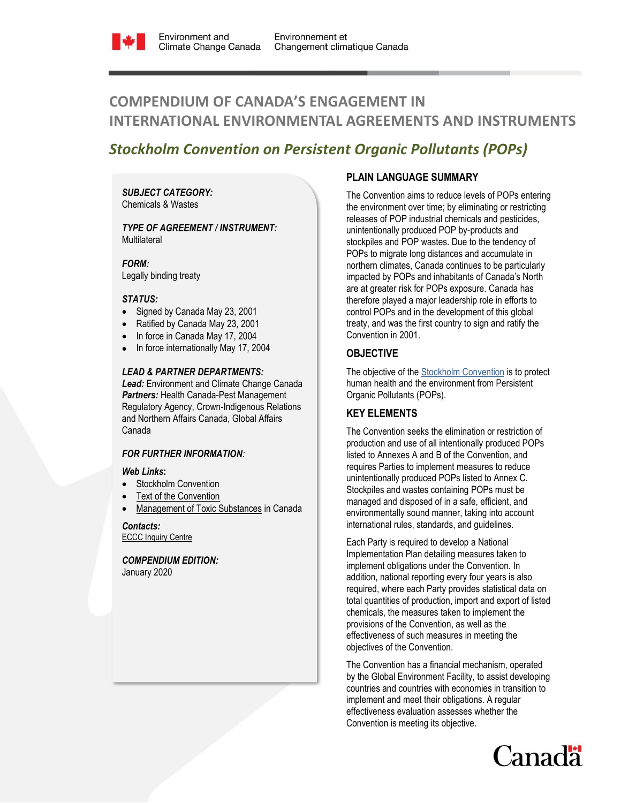

# **COMPENDIUM OF CANADA'S ENGAGEMENT IN INTERNATIONAL ENVIRONMENTAL AGREEMENTS AND INSTRUMENTS**

## *Stockholm Convention on Persistent Organic Pollutants (POPs)*

*SUBJECT CATEGORY:*  Chemicals & Wastes

*TYPE OF AGREEMENT / INSTRUMENT:*  **Multilateral** 

*FORM:* Legally binding treaty

## *STATUS:*

- Signed by Canada May 23, 2001
- Ratified by Canada May 23, 2001
- In force in Canada May 17, 2004
- In force internationally May 17, 2004

#### *LEAD & PARTNER DEPARTMENTS:*

*Lead:* Environment and Climate Change Canada *Partners:* Health Canada-Pest Management Regulatory Agency, Crown-Indigenous Relations and Northern Affairs Canada, Global Affairs Canada

## *FOR FURTHER INFORMATION:*

#### *Web Links***:**

- [Stockholm Convention](http://chm.pops.int/)
- [Text of the Convention](http://chm.pops.int/TheConvention/Overview/TextoftheConvention/tabid/2232/Default.aspx)
- [Management of Toxic Substances](https://www.ec.gc.ca/toxiques-toxics/default.asp?lang=En&n=97324D33-1) in Canada

*Contacts:* **ECCC [Inquiry Centre](https://www.ec.gc.ca/default.asp?lang=En&n=DA294545-1)** 

*COMPENDIUM EDITION:* January 2020

## **PLAIN LANGUAGE SUMMARY**

The Convention aims to reduce levels of POPs entering the environment over time; by eliminating or restricting releases of POP industrial chemicals and pesticides, unintentionally produced POP by-products and stockpiles and POP wastes. Due to the tendency of POPs to migrate long distances and accumulate in northern climates, Canada continues to be particularly impacted by POPs and inhabitants of Canada's North are at greater risk for POPs exposure. Canada has therefore played a major leadership role in efforts to control POPs and in the development of this global treaty, and was the first country to sign and ratify the Convention in 2001.

## **OBJECTIVE**

The objective of th[e Stockholm Convention](http://chm.pops.int/default.aspx) is to protect human health and the environment from Persistent Organic Pollutants (POPs).

## **KEY ELEMENTS**

The Convention seeks the elimination or restriction of production and use of all intentionally produced POPs listed to Annexes A and B of the Convention, and requires Parties to implement measures to reduce unintentionally produced POPs listed to Annex C. Stockpiles and wastes containing POPs must be managed and disposed of in a safe, efficient, and environmentally sound manner, taking into account international rules, standards, and guidelines.

Each Party is required to develop a National Implementation Plan detailing measures taken to implement obligations under the Convention. In addition, national reporting every four years is also required, where each Party provides statistical data on total quantities of production, import and export of listed chemicals, the measures taken to implement the provisions of the Convention, as well as the effectiveness of such measures in meeting the objectives of the Convention.

The Convention has a financial mechanism, operated by the Global Environment Facility, to assist developing countries and countries with economies in transition to implement and meet their obligations. A regular effectiveness evaluation assesses whether the Convention is meeting its objective.